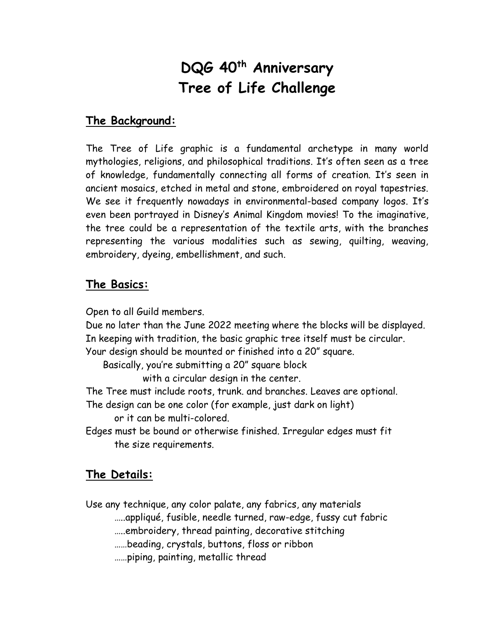## **DQG 40th Anniversary Tree of Life Challenge**

## **The Background:**

The Tree of Life graphic is a fundamental archetype in many world mythologies, religions, and philosophical traditions. It's often seen as a tree of knowledge, fundamentally connecting all forms of creation. It's seen in ancient mosaics, etched in metal and stone, embroidered on royal tapestries. We see it frequently nowadays in environmental-based company logos. It's even been portrayed in Disney's Animal Kingdom movies! To the imaginative, the tree could be a representation of the textile arts, with the branches representing the various modalities such as sewing, quilting, weaving, embroidery, dyeing, embellishment, and such.

## **The Basics:**

Open to all Guild members.

Due no later than the June 2022 meeting where the blocks will be displayed. In keeping with tradition, the basic graphic tree itself must be circular.

Your design should be mounted or finished into a 20" square.

Basically, you're submitting a 20" square block

with a circular design in the center.

The Tree must include roots, trunk. and branches. Leaves are optional.

The design can be one color (for example, just dark on light)

or it can be multi-colored.

Edges must be bound or otherwise finished. Irregular edges must fit the size requirements.

## **The Details:**

Use any technique, any color palate, any fabrics, any materials

…..appliqué, fusible, needle turned, raw-edge, fussy cut fabric

…..embroidery, thread painting, decorative stitching

……beading, crystals, buttons, floss or ribbon

……piping, painting, metallic thread